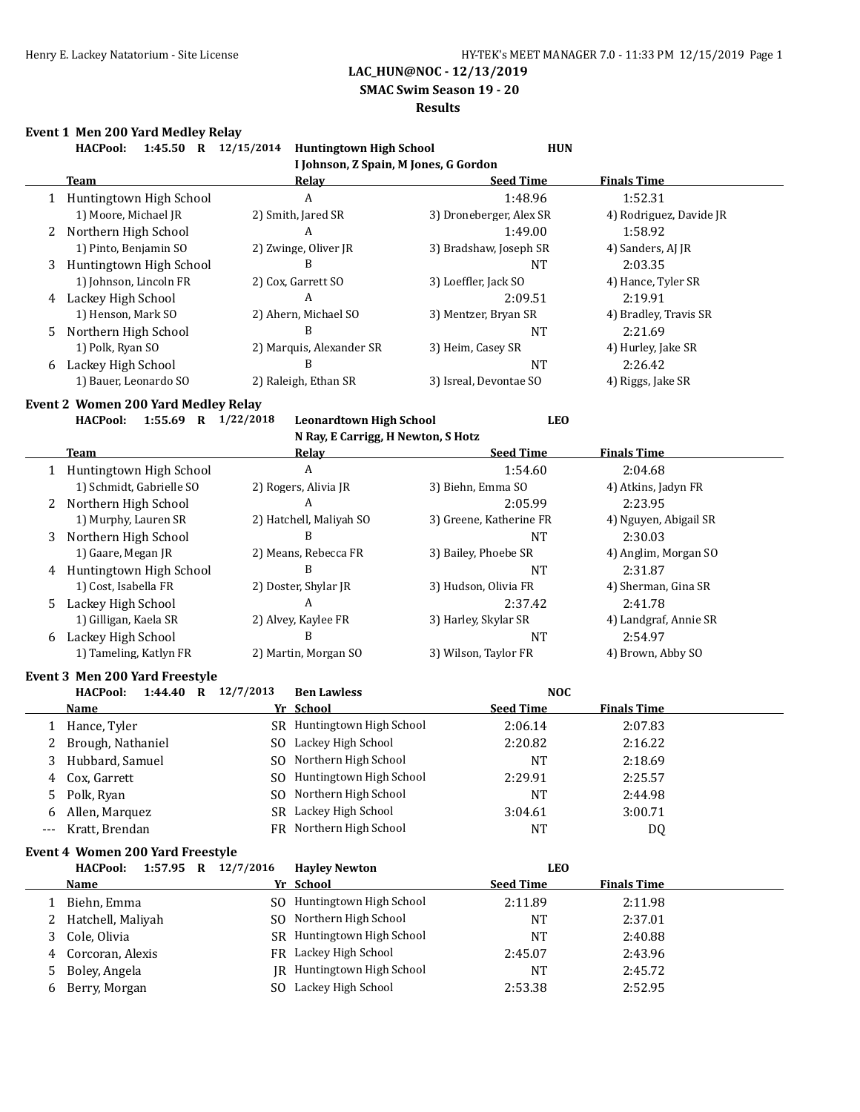**SMAC Swim Season 19 - 20**

#### **Results**

# **Event 1 Men 200 Yard Medley Relay**

|                | Event I men zuu rard mediey kelay<br>1:45.50 R 12/15/2014<br><b>HACPool:</b> | <b>Huntingtown High School</b>                      | <b>HUN</b>              |                         |
|----------------|------------------------------------------------------------------------------|-----------------------------------------------------|-------------------------|-------------------------|
|                |                                                                              | I Johnson, Z Spain, M Jones, G Gordon               |                         |                         |
|                | Team                                                                         | Relay                                               | <b>Seed Time</b>        | <b>Finals Time</b>      |
|                | 1 Huntingtown High School                                                    | $\boldsymbol{A}$                                    | 1:48.96                 | 1:52.31                 |
|                | 1) Moore, Michael JR                                                         | 2) Smith, Jared SR                                  | 3) Droneberger, Alex SR | 4) Rodriguez, Davide JR |
|                | 2 Northern High School                                                       | A                                                   | 1:49.00                 | 1:58.92                 |
|                | 1) Pinto, Benjamin SO                                                        | 2) Zwinge, Oliver JR                                | 3) Bradshaw, Joseph SR  | 4) Sanders, AJ JR       |
| 3              | Huntingtown High School                                                      | B                                                   | <b>NT</b>               | 2:03.35                 |
|                | 1) Johnson, Lincoln FR                                                       | 2) Cox, Garrett SO                                  | 3) Loeffler, Jack SO    | 4) Hance, Tyler SR      |
|                | 4 Lackey High School                                                         | A                                                   | 2:09.51                 | 2:19.91                 |
|                | 1) Henson, Mark SO                                                           | 2) Ahern, Michael SO                                | 3) Mentzer, Bryan SR    | 4) Bradley, Travis SR   |
| 5.             | Northern High School                                                         | B                                                   | <b>NT</b>               | 2:21.69                 |
|                | 1) Polk, Ryan SO                                                             | 2) Marquis, Alexander SR                            | 3) Heim, Casey SR       | 4) Hurley, Jake SR      |
|                | 6 Lackey High School                                                         | B                                                   | <b>NT</b>               | 2:26.42                 |
|                | 1) Bauer, Leonardo SO                                                        | 2) Raleigh, Ethan SR                                | 3) Isreal, Devontae SO  | 4) Riggs, Jake SR       |
|                | Event 2 Women 200 Yard Medley Relay                                          |                                                     |                         |                         |
|                | <b>HACPool:</b><br>1:55.69 R 1/22/2018                                       | <b>Leonardtown High School</b>                      | <b>LEO</b>              |                         |
|                |                                                                              | N Ray, E Carrigg, H Newton, S Hotz                  |                         |                         |
|                | Team                                                                         | <b>Relay</b>                                        | <b>Seed Time</b>        | <b>Finals Time</b>      |
|                | 1 Huntingtown High School                                                    | $\boldsymbol{A}$                                    | 1:54.60                 | 2:04.68                 |
|                | 1) Schmidt, Gabrielle SO                                                     | 2) Rogers, Alivia JR                                | 3) Biehn, Emma SO       | 4) Atkins, Jadyn FR     |
|                | 2 Northern High School                                                       | A                                                   | 2:05.99                 | 2:23.95                 |
|                | 1) Murphy, Lauren SR                                                         | 2) Hatchell, Maliyah SO                             | 3) Greene, Katherine FR | 4) Nguyen, Abigail SR   |
| 3              | Northern High School                                                         | B                                                   | <b>NT</b>               | 2:30.03                 |
|                | 1) Gaare, Megan JR                                                           | 2) Means, Rebecca FR                                | 3) Bailey, Phoebe SR    | 4) Anglim, Morgan SO    |
|                | 4 Huntingtown High School                                                    | B                                                   | <b>NT</b>               | 2:31.87                 |
|                | 1) Cost, Isabella FR                                                         | 2) Doster, Shylar JR                                | 3) Hudson, Olivia FR    | 4) Sherman, Gina SR     |
|                | 5 Lackey High School                                                         | A                                                   | 2:37.42                 | 2:41.78                 |
|                | 1) Gilligan, Kaela SR                                                        | 2) Alvey, Kaylee FR                                 | 3) Harley, Skylar SR    | 4) Landgraf, Annie SR   |
|                | 6 Lackey High School                                                         | B                                                   | <b>NT</b>               | 2:54.97                 |
|                | 1) Tameling, Katlyn FR                                                       | 2) Martin, Morgan SO                                | 3) Wilson, Taylor FR    | 4) Brown, Abby SO       |
|                |                                                                              |                                                     |                         |                         |
|                | Event 3 Men 200 Yard Freestyle                                               |                                                     |                         |                         |
|                | 1:44.40 R 12/7/2013<br><b>HACPool:</b><br>Name                               | <b>Ben Lawless</b><br>Yr School                     | <b>NOC</b>              | <b>Finals Time</b>      |
|                |                                                                              |                                                     | <b>Seed Time</b>        |                         |
| 1              | Hance, Tyler                                                                 | SR Huntingtown High School                          | 2:06.14                 | 2:07.83                 |
| 2              | Brough, Nathaniel                                                            | SO Lackey High School                               | 2:20.82                 | 2:16.22                 |
| $\overline{3}$ | Hubbard, Samuel                                                              | SO Northern High School                             | NT                      | 2:18.69                 |
| 4              | Cox, Garrett                                                                 | SO Huntingtown High School                          | 2:29.91                 | 2:25.57                 |
| 5              | Polk, Ryan                                                                   | SO Northern High School                             | NT                      | 2:44.98                 |
| 6              | Allen, Marquez                                                               | SR Lackey High School                               | 3:04.61                 | 3:00.71                 |
| ---            | Kratt, Brendan                                                               | FR Northern High School                             | <b>NT</b>               | DQ                      |
|                | Event 4 Women 200 Yard Freestyle                                             |                                                     |                         |                         |
|                | 1:57.95 R 12/7/2016<br><b>HACPool:</b>                                       | <b>Hayley Newton</b>                                | <b>LEO</b>              |                         |
|                | <u>Name</u>                                                                  | Yr School                                           | <b>Seed Time</b>        | <b>Finals Time</b>      |
|                |                                                                              | SO Huntingtown High School                          | 2:11.89                 | 2:11.98                 |
|                |                                                                              |                                                     |                         | 2:37.01                 |
| $\mathbf{1}$   | Biehn, Emma                                                                  |                                                     |                         |                         |
| 2              | Hatchell, Maliyah                                                            | SO Northern High School                             | NT                      |                         |
| 3              | Cole, Olivia                                                                 | SR Huntingtown High School                          | NT                      | 2:40.88                 |
| 4              | Corcoran, Alexis                                                             | FR Lackey High School                               | 2:45.07                 | 2:43.96                 |
| 5<br>6         | Boley, Angela<br>Berry, Morgan                                               | JR Huntingtown High School<br>SO Lackey High School | <b>NT</b><br>2:53.38    | 2:45.72<br>2:52.95      |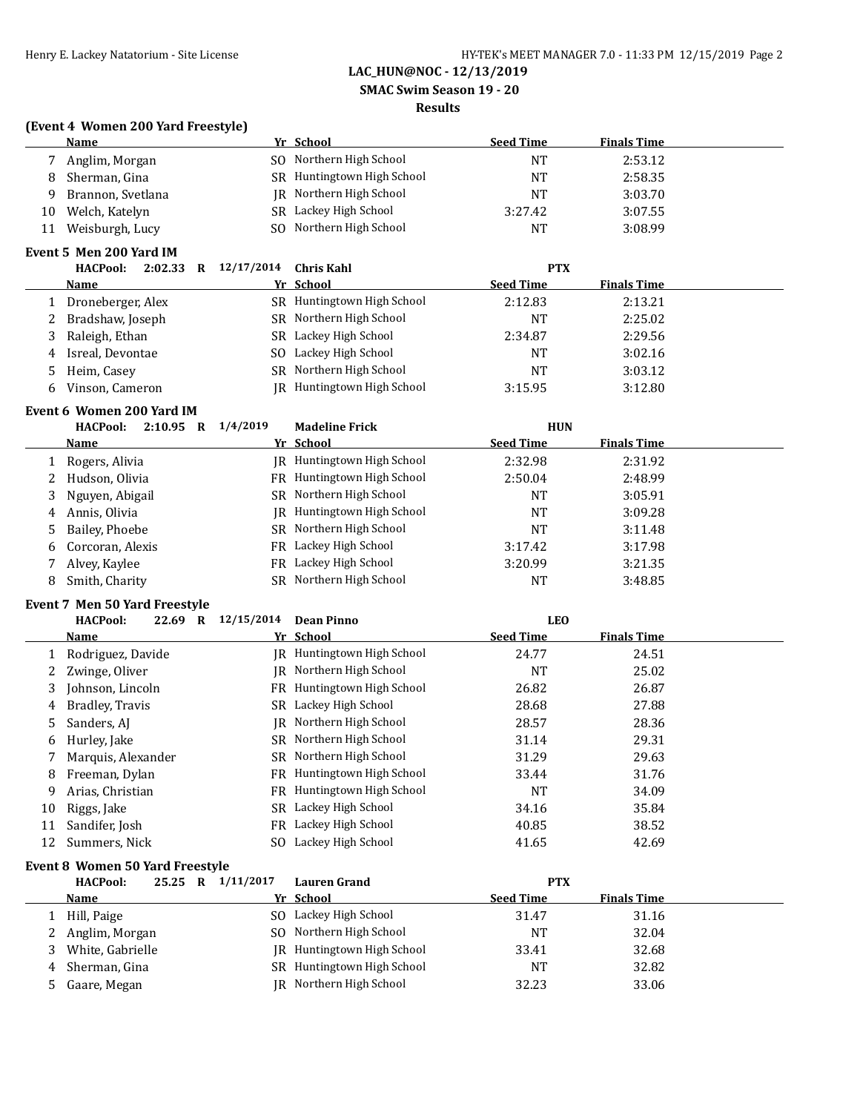## **SMAC Swim Season 19 - 20**

## **Results**

### **(Event 4 Women 200 Yard Freestyle)**

|    | <b>Name</b>                             |                    | Yr School                  | <b>Seed Time</b> | <b>Finals Time</b> |  |
|----|-----------------------------------------|--------------------|----------------------------|------------------|--------------------|--|
|    | Anglim, Morgan                          |                    | SO Northern High School    | <b>NT</b>        | 2:53.12            |  |
| 8  | Sherman, Gina                           |                    | SR Huntingtown High School | <b>NT</b>        | 2:58.35            |  |
| 9  | Brannon, Svetlana                       | IR                 | Northern High School       | <b>NT</b>        | 3:03.70            |  |
| 10 | Welch, Katelyn                          | SR.                | Lackey High School         | 3:27.42          | 3:07.55            |  |
| 11 | Weisburgh, Lucy                         | SO.                | Northern High School       | <b>NT</b>        | 3:08.99            |  |
|    | Event 5 Men 200 Yard IM                 |                    |                            |                  |                    |  |
|    | HACPool: 2:02.33 R 12/17/2014           |                    | <b>Chris Kahl</b>          | <b>PTX</b>       |                    |  |
|    | <b>Name</b>                             |                    | Yr School                  | <b>Seed Time</b> | <b>Finals Time</b> |  |
| 1  | Droneberger, Alex                       |                    | SR Huntingtown High School | 2:12.83          | 2:13.21            |  |
| 2  | Bradshaw, Joseph                        |                    | SR Northern High School    | <b>NT</b>        | 2:25.02            |  |
| 3  | Raleigh, Ethan                          |                    | SR Lackey High School      | 2:34.87          | 2:29.56            |  |
| 4  | Isreal, Devontae                        | SO.                | Lackey High School         | <b>NT</b>        | 3:02.16            |  |
| 5  | Heim, Casey                             | SR.                | Northern High School       | <b>NT</b>        | 3:03.12            |  |
| 6  | Vinson, Cameron                         |                    | IR Huntingtown High School | 3:15.95          | 3:12.80            |  |
|    | Event 6 Women 200 Yard IM               |                    |                            |                  |                    |  |
|    | <b>HACPool:</b><br>2:10.95 R $1/4/2019$ |                    | <b>Madeline Frick</b>      | <b>HUN</b>       |                    |  |
|    | Name                                    |                    | Yr School                  | <b>Seed Time</b> | <b>Finals Time</b> |  |
|    | Rogers, Alivia                          |                    | JR Huntingtown High School | 2:32.98          | 2:31.92            |  |
| 2  | Hudson, Olivia                          | FR                 | Huntingtown High School    | 2:50.04          | 2:48.99            |  |
| 3  | Nguyen, Abigail                         | SR -               | Northern High School       | <b>NT</b>        | 3:05.91            |  |
| 4  | Annis, Olivia                           | IR.                | Huntingtown High School    | <b>NT</b>        | 3:09.28            |  |
| 5  | Bailey, Phoebe                          |                    | SR Northern High School    | <b>NT</b>        | 3:11.48            |  |
| 6  | Corcoran, Alexis                        | FR.                | Lackey High School         | 3:17.42          | 3:17.98            |  |
|    | Alvey, Kaylee                           | FR.                | Lackey High School         | 3:20.99          | 3:21.35            |  |
| 8  | Smith, Charity                          | <b>SR</b>          | Northern High School       | <b>NT</b>        | 3:48.85            |  |
|    | <b>Event 7 Men 50 Yard Freestyle</b>    |                    |                            |                  |                    |  |
|    | <b>HACPool:</b>                         | 22.69 R 12/15/2014 | <b>Dean Pinno</b>          | <b>LEO</b>       |                    |  |
|    | <b>Name</b>                             |                    | Yr School                  | <b>Seed Time</b> | <b>Finals Time</b> |  |

|    | <u>.</u>           |     | <u>11 Julioui</u>          | <u>seed thre</u> | <u>, ,,,,,,,,,,,,,,,,</u> |  |
|----|--------------------|-----|----------------------------|------------------|---------------------------|--|
|    | Rodriguez, Davide  |     | IR Huntingtown High School | 24.77            | 24.51                     |  |
|    | Zwinge, Oliver     |     | JR Northern High School    | <b>NT</b>        | 25.02                     |  |
|    | Johnson, Lincoln   |     | FR Huntingtown High School | 26.82            | 26.87                     |  |
| 4  | Bradley, Travis    |     | SR Lackey High School      | 28.68            | 27.88                     |  |
| 5. | Sanders, AJ        |     | IR Northern High School    | 28.57            | 28.36                     |  |
| 6  | Hurley, Jake       |     | SR Northern High School    | 31.14            | 29.31                     |  |
|    | Marquis, Alexander |     | SR Northern High School    | 31.29            | 29.63                     |  |
| 8  | Freeman, Dylan     |     | FR Huntingtown High School | 33.44            | 31.76                     |  |
| 9  | Arias, Christian   |     | FR Huntingtown High School | <b>NT</b>        | 34.09                     |  |
| 10 | Riggs, Jake        | SR  | Lackey High School         | 34.16            | 35.84                     |  |
| 11 | Sandifer, Josh     |     | FR Lackey High School      | 40.85            | 38.52                     |  |
| 12 | Summers, Nick      | SO. | Lackey High School         | 41.65            | 42.69                     |  |

## **Event 8 Women 50 Yard Freestyle**

|    | <b>HACPool:</b>  | 25.25 R | 1/11/2017 | <b>Lauren Grand</b>        | <b>PTX</b>       |                    |  |
|----|------------------|---------|-----------|----------------------------|------------------|--------------------|--|
|    | Name             |         |           | Yr School                  | <b>Seed Time</b> | <b>Finals Time</b> |  |
|    | Hill, Paige      |         |           | SO Lackey High School      | 31.47            | 31.16              |  |
|    | 2 Anglim, Morgan |         |           | SO Northern High School    | NT               | 32.04              |  |
| 3. | White, Gabrielle |         |           | JR Huntingtown High School | 33.41            | 32.68              |  |
|    | 4 Sherman, Gina  |         |           | SR Huntingtown High School | NT               | 32.82              |  |
|    | 5 Gaare, Megan   |         |           | IR Northern High School    | 32.23            | 33.06              |  |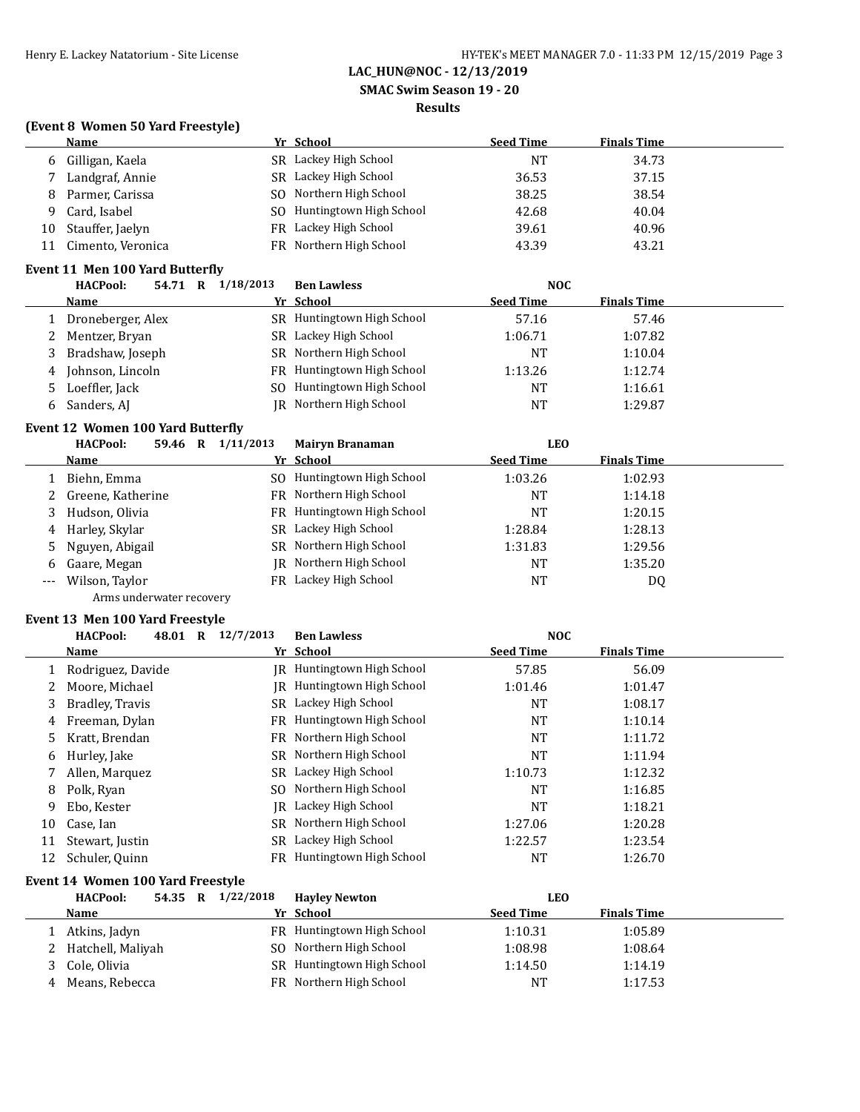#### **SMAC Swim Season 19 - 20**

#### **Results**

### **(Event 8 Women 50 Yard Freestyle)**

|    | Name              | Yr School                  | <b>Seed Time</b> | <b>Finals Time</b> |
|----|-------------------|----------------------------|------------------|--------------------|
|    | 6 Gilligan, Kaela | SR Lackey High School      | NΤ               | 34.73              |
|    | Landgraf, Annie   | SR Lackey High School      | 36.53            | 37.15              |
| 8  | Parmer, Carissa   | SO Northern High School    | 38.25            | 38.54              |
| Q  | Card, Isabel      | SO Huntingtown High School | 42.68            | 40.04              |
| 10 | Stauffer, Jaelyn  | FR Lackey High School      | 39.61            | 40.96              |
| 11 | Cimento, Veronica | FR Northern High School    | 43.39            | 43.21              |

## **Event 11 Men 100 Yard Butterfly**

|   | <b>HACPool:</b><br>54.71<br>R | 1/18/2013 | <b>Ben Lawless</b>         | <b>NOC</b>       |                    |  |
|---|-------------------------------|-----------|----------------------------|------------------|--------------------|--|
|   | <b>Name</b>                   |           | Yr School                  | <b>Seed Time</b> | <b>Finals Time</b> |  |
|   | 1 Droneberger, Alex           |           | SR Huntingtown High School | 57.16            | 57.46              |  |
|   | 2 Mentzer, Bryan              | SR -      | Lackey High School         | 1:06.71          | 1:07.82            |  |
|   | 3 Bradshaw, Joseph            |           | SR Northern High School    | NT               | 1:10.04            |  |
|   | 4 Johnson, Lincoln            |           | FR Huntingtown High School | 1:13.26          | 1:12.74            |  |
|   | 5 Loeffler, Jack              | SO.       | Huntingtown High School    | NT               | 1:16.61            |  |
| 6 | Sanders, AJ                   |           | IR Northern High School    | NT               | 1:29.87            |  |

### **Event 12 Women 100 Yard Butterfly**

|   | <b>HACPool:</b><br>59.46<br>R | 1/11/2013 | <b>Mairyn Branaman</b>     | LEO              |                    |
|---|-------------------------------|-----------|----------------------------|------------------|--------------------|
|   | Name                          |           | Yr School                  | <b>Seed Time</b> | <b>Finals Time</b> |
|   | Biehn, Emma                   |           | SO Huntingtown High School | 1:03.26          | 1:02.93            |
| 2 | Greene, Katherine             |           | FR Northern High School    | NT               | 1:14.18            |
|   | Hudson, Olivia                |           | FR Huntingtown High School | NT               | 1:20.15            |
| 4 | Harley, Skylar                |           | SR Lackey High School      | 1:28.84          | 1:28.13            |
|   | 5 Nguyen, Abigail             |           | SR Northern High School    | 1:31.83          | 1:29.56            |
| 6 | Gaare, Megan                  |           | IR Northern High School    | NT               | 1:35.20            |
|   | Wilson, Taylor                |           | FR Lackey High School      | NT               | DQ                 |

Arms underwater recovery

## **Event 13 Men 100 Yard Freestyle**

|    | <b>HACPool:</b><br>48.01<br>$\mathbf R$ | 12/7/2013 | <b>Ben Lawless</b>         | <b>NOC</b>       |                    |
|----|-----------------------------------------|-----------|----------------------------|------------------|--------------------|
|    | Name                                    |           | Yr School                  | <b>Seed Time</b> | <b>Finals Time</b> |
|    | Rodriguez, Davide                       |           | IR Huntingtown High School | 57.85            | 56.09              |
|    | Moore, Michael                          | IR        | Huntingtown High School    | 1:01.46          | 1:01.47            |
| 3  | Bradley, Travis                         | SR.       | Lackey High School         | <b>NT</b>        | 1:08.17            |
| 4  | Freeman, Dylan                          |           | FR Huntingtown High School | <b>NT</b>        | 1:10.14            |
| 5. | Kratt, Brendan                          |           | FR Northern High School    | <b>NT</b>        | 1:11.72            |
| 6  | Hurley, Jake                            |           | SR Northern High School    | <b>NT</b>        | 1:11.94            |
|    | Allen, Marquez                          | SR -      | Lackey High School         | 1:10.73          | 1:12.32            |
| 8  | Polk, Ryan                              | SO.       | Northern High School       | <b>NT</b>        | 1:16.85            |
| 9  | Ebo, Kester                             | IR        | Lackey High School         | <b>NT</b>        | 1:18.21            |
| 10 | Case, Ian                               |           | SR Northern High School    | 1:27.06          | 1:20.28            |
| 11 | Stewart, Justin                         | SR.       | Lackey High School         | 1:22.57          | 1:23.54            |
| 12 | Schuler, Quinn                          | FR -      | Huntingtown High School    | <b>NT</b>        | 1:26.70            |

### **Event 14 Women 100 Yard Freestyle**

|   | <b>HACPool:</b><br>54.35 | $\mathbf{R}$ | 1/22/2018 | <b>Havley Newton</b>       | LEO              |                    |  |
|---|--------------------------|--------------|-----------|----------------------------|------------------|--------------------|--|
|   | Name                     |              |           | Yr School                  | <b>Seed Time</b> | <b>Finals Time</b> |  |
|   | Atkins, Jadyn            |              |           | FR Huntingtown High School | 1:10.31          | 1:05.89            |  |
|   | 2 Hatchell, Maliyah      |              |           | SO Northern High School    | 1:08.98          | 1:08.64            |  |
|   | Cole, Olivia             |              |           | SR Huntingtown High School | 1:14.50          | 1:14.19            |  |
| 4 | Means, Rebecca           |              |           | FR Northern High School    | <b>NT</b>        | 1:17.53            |  |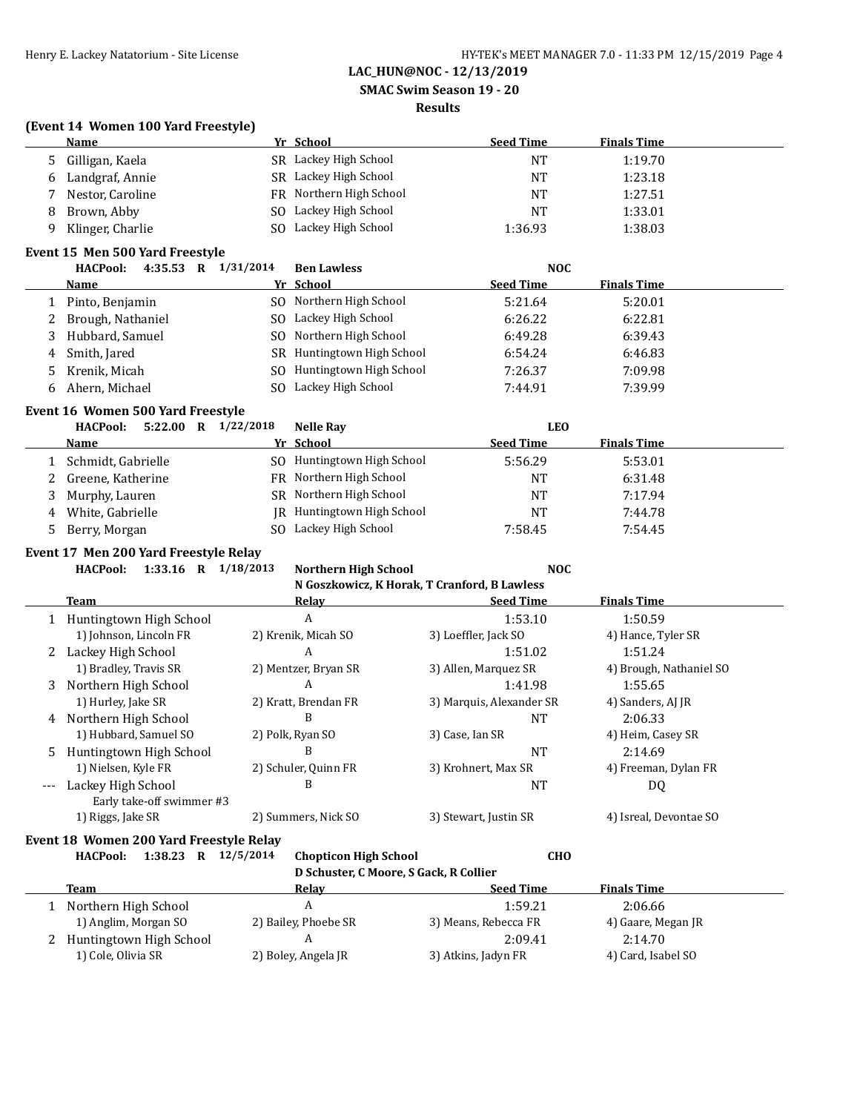#### **SMAC Swim Season 19 - 20**

## **Results**

### **(Event 14 Women 100 Yard Freestyle)**

|              | <b>Name</b>                                    | Yr School                                    | <b>Seed Time</b>         | <b>Finals Time</b>      |
|--------------|------------------------------------------------|----------------------------------------------|--------------------------|-------------------------|
| 5            | Gilligan, Kaela                                | SR Lackey High School                        | <b>NT</b>                | 1:19.70                 |
| 6            | Landgraf, Annie                                | SR Lackey High School                        | <b>NT</b>                | 1:23.18                 |
| 7            | Nestor, Caroline                               | FR Northern High School                      | <b>NT</b>                | 1:27.51                 |
| 8            | Brown, Abby                                    | SO Lackey High School                        | <b>NT</b>                | 1:33.01                 |
| 9            | Klinger, Charlie                               | SO Lackey High School                        | 1:36.93                  | 1:38.03                 |
|              | Event 15 Men 500 Yard Freestyle                |                                              |                          |                         |
|              | <b>HACPool:</b><br>4:35.53 R 1/31/2014         | <b>Ben Lawless</b>                           | <b>NOC</b>               |                         |
|              | Name                                           | Yr School                                    | <b>Seed Time</b>         | <b>Finals Time</b>      |
| $\mathbf{1}$ | Pinto, Benjamin                                | SO Northern High School                      | 5:21.64                  | 5:20.01                 |
| 2            | Brough, Nathaniel                              | SO Lackey High School                        | 6:26.22                  | 6:22.81                 |
| 3            | Hubbard, Samuel                                | SO Northern High School                      | 6:49.28                  | 6:39.43                 |
| 4            | Smith, Jared                                   | SR Huntingtown High School                   | 6:54.24                  | 6:46.83                 |
| 5            | Krenik, Micah                                  | SO Huntingtown High School                   | 7:26.37                  | 7:09.98                 |
| 6            | Ahern, Michael                                 | SO Lackey High School                        | 7:44.91                  | 7:39.99                 |
|              | Event 16 Women 500 Yard Freestyle              |                                              |                          |                         |
|              | <b>HACPool:</b><br>5:22.00 R 1/22/2018         | <b>Nelle Ray</b>                             | <b>LEO</b>               |                         |
|              | <b>Name</b>                                    | Yr School                                    | <b>Seed Time</b>         | <b>Finals Time</b>      |
| 1            | Schmidt, Gabrielle                             | SO Huntingtown High School                   | 5:56.29                  | 5:53.01                 |
| 2            | Greene, Katherine                              | FR Northern High School                      | <b>NT</b>                | 6:31.48                 |
| 3            | Murphy, Lauren                                 | SR Northern High School                      | NT                       | 7:17.94                 |
| 4            | White, Gabrielle                               | JR Huntingtown High School                   | <b>NT</b>                | 7:44.78                 |
| 5            | Berry, Morgan                                  | SO Lackey High School                        | 7:58.45                  | 7:54.45                 |
|              | Event 17 Men 200 Yard Freestyle Relay          |                                              |                          |                         |
|              | <b>HACPool:</b><br>1:33.16 R $1/18/2013$       | <b>Northern High School</b>                  | <b>NOC</b>               |                         |
|              |                                                | N Goszkowicz, K Horak, T Cranford, B Lawless |                          |                         |
|              | <b>Team</b>                                    | Relay                                        | <b>Seed Time</b>         | <b>Finals Time</b>      |
|              | 1 Huntingtown High School                      | $\boldsymbol{A}$                             | 1:53.10                  | 1:50.59                 |
|              | 1) Johnson, Lincoln FR                         | 2) Krenik, Micah SO                          | 3) Loeffler, Jack SO     | 4) Hance, Tyler SR      |
|              | 2 Lackey High School                           | A                                            | 1:51.02                  | 1:51.24                 |
|              | 1) Bradley, Travis SR                          | 2) Mentzer, Bryan SR                         | 3) Allen, Marquez SR     | 4) Brough, Nathaniel SO |
| 3            | Northern High School                           | A                                            | 1:41.98                  | 1:55.65                 |
|              | 1) Hurley, Jake SR                             | 2) Kratt, Brendan FR                         | 3) Marquis, Alexander SR | 4) Sanders, AJ JR       |
|              | 4 Northern High School                         | B                                            | <b>NT</b>                | 2:06.33                 |
|              | 1) Hubbard, Samuel SO                          | 2) Polk, Ryan SO                             | 3) Case, Ian SR          | 4) Heim, Casey SR       |
| 5            | Huntingtown High School                        | B                                            | NT                       | 2:14.69                 |
|              | 1) Nielsen, Kyle FR                            | 2) Schuler, Quinn FR                         | 3) Krohnert, Max SR      | 4) Freeman, Dylan FR    |
| $---$        | Lackey High School                             | B                                            | NT                       | DQ                      |
|              | Early take-off swimmer #3<br>1) Riggs, Jake SR | 2) Summers, Nick SO                          | 3) Stewart, Justin SR    | 4) Isreal, Devontae SO  |
|              |                                                |                                              |                          |                         |

#### **Event 18 Women 200 Yard Freestyle Relay**

**HACPool: 1:38.23 R 12/5/2014 Chopticon High School CHO**

**D Schuster, C Moore, S Gack, R Collier**

| Team                    | Relay                | <b>Seed Time</b>     | <b>Finals Time</b> |  |
|-------------------------|----------------------|----------------------|--------------------|--|
| Northern High School    |                      | 1:59.21              | 2:06.66            |  |
| 1) Anglim, Morgan SO    | 2) Bailey, Phoebe SR | 3) Means, Rebecca FR | 4) Gaare, Megan JR |  |
| Huntingtown High School |                      | 2:09.41              | 2:14.70            |  |
| 1) Cole, Olivia SR      | 2) Boley, Angela JR  | 3) Atkins, Jadyn FR  | 4) Card, Isabel SO |  |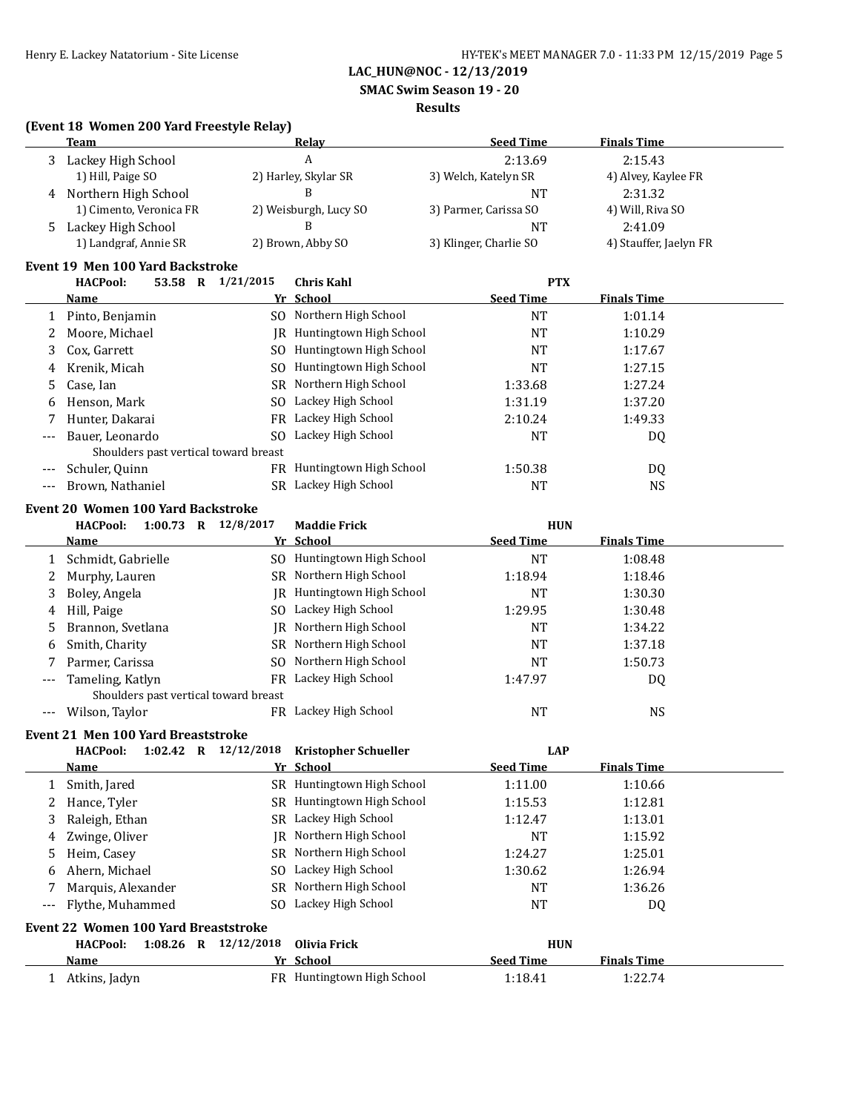**SMAC Swim Season 19 - 20**

#### **Results**

### **(Event 18 Women 200 Yard Freestyle Relay)**

|       | Team                    | <b>Relay</b>          | <b>Seed Time</b>       | <b>Finals Time</b>     |  |
|-------|-------------------------|-----------------------|------------------------|------------------------|--|
|       | Lackey High School      | А                     | 2:13.69                | 2:15.43                |  |
|       | 1) Hill, Paige SO       | 2) Harley, Skylar SR  | 3) Welch, Katelyn SR   | 4) Alvey, Kaylee FR    |  |
|       | 4 Northern High School  |                       | NT                     | 2:31.32                |  |
|       | 1) Cimento, Veronica FR | 2) Weisburgh, Lucy SO | 3) Parmer, Carissa SO  | 4) Will, Riva SO       |  |
| $5 -$ | Lackey High School      |                       | <b>NT</b>              | 2:41.09                |  |
|       | 1) Landgraf, Annie SR   | 2) Brown, Abby SO     | 3) Klinger, Charlie SO | 4) Stauffer, Jaelyn FR |  |

#### **Event 19 Men 100 Yard Backstroke**

|       | <b>HACPool:</b><br>53.58 R            | 1/21/2015 | <b>Chris Kahl</b>          | <b>PTX</b>       |                    |  |
|-------|---------------------------------------|-----------|----------------------------|------------------|--------------------|--|
|       | <b>Name</b>                           |           | Yr School                  | <b>Seed Time</b> | <b>Finals Time</b> |  |
|       | Pinto, Benjamin                       |           | SO Northern High School    | NT               | 1:01.14            |  |
|       | Moore, Michael                        | IR        | Huntingtown High School    | NT               | 1:10.29            |  |
| 3.    | Cox, Garrett                          |           | SO Huntingtown High School | NT               | 1:17.67            |  |
| 4     | Krenik, Micah                         |           | SO Huntingtown High School | NT               | 1:27.15            |  |
| 5.    | Case, Ian                             |           | SR Northern High School    | 1:33.68          | 1:27.24            |  |
| 6     | Henson, Mark                          |           | SO Lackey High School      | 1:31.19          | 1:37.20            |  |
|       | Hunter, Dakarai                       |           | FR Lackey High School      | 2:10.24          | 1:49.33            |  |
| $---$ | Bauer, Leonardo                       | SO.       | Lackey High School         | NT               | DQ                 |  |
|       | Shoulders past vertical toward breast |           |                            |                  |                    |  |
|       | Schuler, Quinn                        | FR        | Huntingtown High School    | 1:50.38          | DQ                 |  |
|       | Brown, Nathaniel                      | SR.       | Lackey High School         | NT               | NS.                |  |
|       |                                       |           |                            |                  |                    |  |

#### **Event 20 Women 100 Yard Backstroke**

|       | 12/8/2017<br><b>Maddie Frick</b><br><b>HUN</b><br><b>HACPool:</b><br>1:00.73<br>R |     |                         |                  |                    |  |  |  |
|-------|-----------------------------------------------------------------------------------|-----|-------------------------|------------------|--------------------|--|--|--|
|       | Name                                                                              |     | Yr School               | <b>Seed Time</b> | <b>Finals Time</b> |  |  |  |
|       | Schmidt, Gabrielle                                                                | SO. | Huntingtown High School | NT               | 1:08.48            |  |  |  |
|       | Murphy, Lauren                                                                    |     | SR Northern High School | 1:18.94          | 1:18.46            |  |  |  |
| 3     | Boley, Angela                                                                     | IR  | Huntingtown High School | NT               | 1:30.30            |  |  |  |
| 4     | Hill, Paige                                                                       | SO. | Lackey High School      | 1:29.95          | 1:30.48            |  |  |  |
| 5     | Brannon, Svetlana                                                                 | IR  | Northern High School    | <b>NT</b>        | 1:34.22            |  |  |  |
| 6     | Smith, Charity                                                                    |     | SR Northern High School | <b>NT</b>        | 1:37.18            |  |  |  |
|       | Parmer, Carissa                                                                   | SO. | Northern High School    | <b>NT</b>        | 1:50.73            |  |  |  |
| $---$ | Tameling, Katlyn                                                                  | FR  | Lackey High School      | 1:47.97          | DQ                 |  |  |  |
|       | Shoulders past vertical toward breast                                             |     |                         |                  |                    |  |  |  |
|       | Wilson, Taylor                                                                    | FR. | Lackey High School      | NT               | NS                 |  |  |  |

## **Event 21 Men 100 Yard Breaststroke**

|       | <b>HACPool:</b><br>$1:02.42$ R       | 12/12/2018 | <b>Kristopher Schueller</b>       | <b>LAP</b>       |                    |  |  |  |
|-------|--------------------------------------|------------|-----------------------------------|------------------|--------------------|--|--|--|
|       | <b>Name</b>                          |            | Yr School                         | <b>Seed Time</b> | <b>Finals Time</b> |  |  |  |
|       | Smith, Jared                         |            | SR Huntingtown High School        | 1:11.00          | 1:10.66            |  |  |  |
|       | Hance, Tyler                         |            | SR Huntingtown High School        | 1:15.53          | 1:12.81            |  |  |  |
| 3     | Raleigh, Ethan                       |            | SR Lackey High School             | 1:12.47          | 1:13.01            |  |  |  |
| 4     | Zwinge, Oliver                       |            | IR Northern High School           | NT               | 1:15.92            |  |  |  |
| 5     | Heim, Casey                          |            | SR Northern High School           | 1:24.27          | 1:25.01            |  |  |  |
| 6     | Ahern, Michael                       |            | SO Lackey High School             | 1:30.62          | 1:26.94            |  |  |  |
|       | Marquis, Alexander                   |            | SR Northern High School           | NT               | 1:36.26            |  |  |  |
| $---$ | Flythe, Muhammed                     |            | SO Lackey High School             | NT               | DQ                 |  |  |  |
|       | Event 22 Women 100 Yard Breaststroke |            |                                   |                  |                    |  |  |  |
|       | $1:08.26$ R<br><b>HACPool:</b>       | 12/12/2018 | Olivia Frick                      | <b>HUN</b>       |                    |  |  |  |
|       | <b>Name</b>                          |            | Yr School                         | <b>Seed Time</b> | <b>Finals Time</b> |  |  |  |
|       | Atkins, Jadyn                        |            | <b>FR</b> Huntingtown High School | 1:18.41          | 1:22.74            |  |  |  |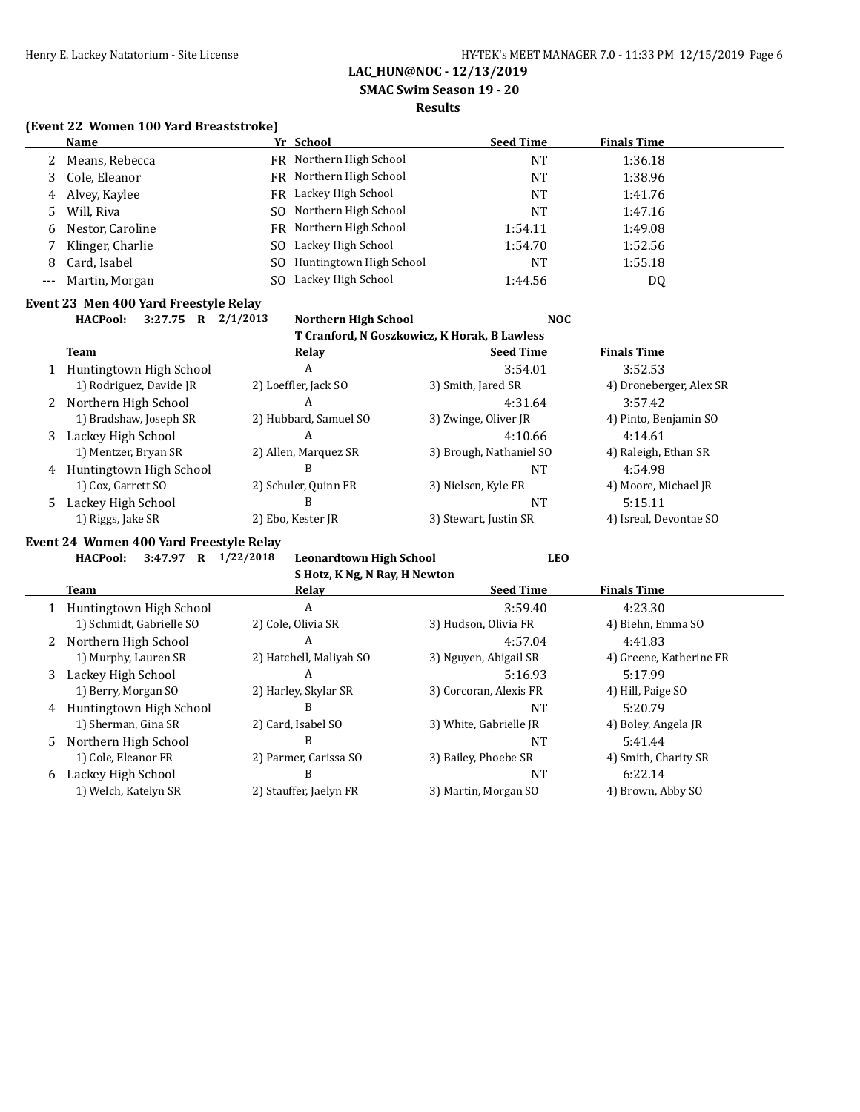**SMAC Swim Season 19 - 20**

#### **Results**

#### **(Event 22 Women 100 Yard Breaststroke)**

|   | Name               |     | Yr School               | <b>Seed Time</b> | <b>Finals Time</b> |
|---|--------------------|-----|-------------------------|------------------|--------------------|
|   | 2 Means, Rebecca   |     | FR Northern High School | NT               | 1:36.18            |
|   | 3 Cole, Eleanor    |     | FR Northern High School | NT               | 1:38.96            |
|   | 4 Alvey, Kaylee    |     | FR Lackey High School   | NT               | 1:41.76            |
|   | 5 Will, Riva       |     | SO Northern High School | NT               | 1:47.16            |
|   | 6 Nestor, Caroline |     | FR Northern High School | 1:54.11          | 1:49.08            |
|   | Klinger, Charlie   | SO. | Lackey High School      | 1:54.70          | 1:52.56            |
| 8 | Card, Isabel       | SO. | Huntingtown High School | NT               | 1:55.18            |
|   | Martin, Morgan     |     | Lackey High School      | 1:44.56          | DQ                 |

#### **Event 23 Men 400 Yard Freestyle Relay**

**HACPool: 3:27.75 R 2/1/2013 Northern High School NOC**

|       | T Cranford, N Goszkowicz, K Horak, B Lawless |
|-------|----------------------------------------------|
| Relay | Seed Time                                    |

|   | Team                    | Relay                 | <b>Seed Time</b>        | <b>Finals Time</b>      |  |
|---|-------------------------|-----------------------|-------------------------|-------------------------|--|
|   | Huntingtown High School | A                     | 3:54.01                 | 3:52.53                 |  |
|   | 1) Rodriguez, Davide JR | 2) Loeffler, Jack SO  | 3) Smith, Jared SR      | 4) Droneberger, Alex SR |  |
|   | 2 Northern High School  | A                     | 4:31.64                 | 3:57.42                 |  |
|   | 1) Bradshaw, Joseph SR  | 2) Hubbard, Samuel SO | 3) Zwinge, Oliver JR    | 4) Pinto, Benjamin SO   |  |
| 3 | Lackey High School      | A                     | 4:10.66                 | 4:14.61                 |  |
|   | 1) Mentzer, Bryan SR    | 2) Allen, Marquez SR  | 3) Brough, Nathaniel SO | 4) Raleigh, Ethan SR    |  |
| 4 | Huntingtown High School | В                     | NΤ                      | 4:54.98                 |  |
|   | 1) Cox, Garrett SO      | 2) Schuler, Quinn FR  | 3) Nielsen, Kyle FR     | 4) Moore, Michael JR    |  |
| 5 | Lackey High School      | В                     | <b>NT</b>               | 5:15.11                 |  |
|   | 1) Riggs, Jake SR       | 2) Ebo, Kester JR     | 3) Stewart, Justin SR   | 4) Isreal, Devontae SO  |  |

## **Event 24 Women 400 Yard Freestyle Relay**

|  |  | HACPool: 3:47.97 R 1/22/2018 Leonardtown High School | LEO |
|--|--|------------------------------------------------------|-----|
|  |  |                                                      |     |

|              | S Hotz, K Ng, N Ray, H Newton |                         |                        |                         |  |  |  |  |  |
|--------------|-------------------------------|-------------------------|------------------------|-------------------------|--|--|--|--|--|
|              | <b>Team</b>                   | Relay                   | <b>Seed Time</b>       | <b>Finals Time</b>      |  |  |  |  |  |
|              | Huntingtown High School       | A                       | 3:59.40                | 4:23.30                 |  |  |  |  |  |
|              | 1) Schmidt, Gabrielle SO      | 2) Cole, Olivia SR      | 3) Hudson, Olivia FR   | 4) Biehn, Emma SO       |  |  |  |  |  |
| $\mathbf{Z}$ | Northern High School          | A                       | 4:57.04                | 4:41.83                 |  |  |  |  |  |
|              | 1) Murphy, Lauren SR          | 2) Hatchell, Maliyah SO | 3) Nguyen, Abigail SR  | 4) Greene, Katherine FR |  |  |  |  |  |
| 3            | Lackey High School            | A                       | 5:16.93                | 5:17.99                 |  |  |  |  |  |
|              | 1) Berry, Morgan SO           | 2) Harley, Skylar SR    | 3) Corcoran, Alexis FR | 4) Hill, Paige SO       |  |  |  |  |  |
| 4            | Huntingtown High School       | В                       | NT                     | 5:20.79                 |  |  |  |  |  |
|              | 1) Sherman, Gina SR           | 2) Card, Isabel SO      | 3) White, Gabrielle JR | 4) Boley, Angela JR     |  |  |  |  |  |
| 5.           | Northern High School          | B                       | <b>NT</b>              | 5:41.44                 |  |  |  |  |  |
|              | 1) Cole, Eleanor FR           | 2) Parmer, Carissa SO   | 3) Bailey, Phoebe SR   | 4) Smith, Charity SR    |  |  |  |  |  |
| 6            | Lackey High School            | B                       | <b>NT</b>              | 6:22.14                 |  |  |  |  |  |
|              | 1) Welch, Katelyn SR          | 2) Stauffer, Jaelyn FR  | 3) Martin, Morgan SO   | 4) Brown, Abby SO       |  |  |  |  |  |